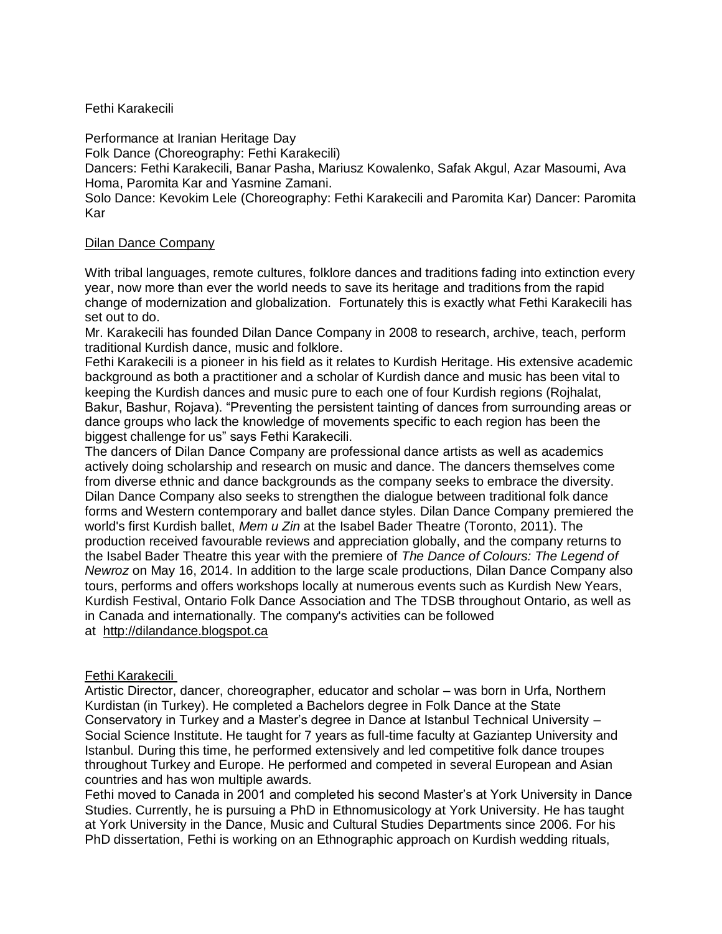## Fethi Karakecili

Performance at Iranian Heritage Day

Folk Dance (Choreography: Fethi Karakecili)

Dancers: Fethi Karakecili, Banar Pasha, Mariusz Kowalenko, Safak Akgul, Azar Masoumi, Ava Homa, Paromita Kar and Yasmine Zamani.

Solo Dance: Kevokim Lele (Choreography: Fethi Karakecili and Paromita Kar) Dancer: Paromita Kar

## Dilan Dance Company

With tribal languages, remote cultures, folklore dances and traditions fading into extinction every year, now more than ever the world needs to save its heritage and traditions from the rapid change of modernization and globalization. Fortunately this is exactly what Fethi Karakecili has set out to do.

Mr. Karakecili has founded Dilan Dance Company in 2008 to research, archive, teach, perform traditional Kurdish dance, music and folklore.

Fethi Karakecili is a pioneer in his field as it relates to Kurdish Heritage. His extensive academic background as both a practitioner and a scholar of Kurdish dance and music has been vital to keeping the Kurdish dances and music pure to each one of four Kurdish regions (Rojhalat, Bakur, Bashur, Rojava). "Preventing the persistent tainting of dances from surrounding areas or dance groups who lack the knowledge of movements specific to each region has been the biggest challenge for us" says Fethi Karakecili.

The dancers of Dilan Dance Company are professional dance artists as well as academics actively doing scholarship and research on music and dance. The dancers themselves come from diverse ethnic and dance backgrounds as the company seeks to embrace the diversity. Dilan Dance Company also seeks to strengthen the dialogue between traditional folk dance forms and Western contemporary and ballet dance styles. Dilan Dance Company premiered the world's first Kurdish ballet, *Mem u Zin* at the Isabel Bader Theatre (Toronto, 2011). The production received favourable reviews and appreciation globally, and the company returns to the Isabel Bader Theatre this year with the premiere of *The Dance of Colours: The Legend of Newroz* on May 16, 2014. In addition to the large scale productions, Dilan Dance Company also tours, performs and offers workshops locally at numerous events such as Kurdish New Years, Kurdish Festival, Ontario Folk Dance Association and The TDSB throughout Ontario, as well as in Canada and internationally. The company's activities can be followed

at [http://dilandance.blogspot.ca](http://dilandance.blogspot.ca/)

## Fethi Karakecili

Artistic Director, dancer, choreographer, educator and scholar – was born in Urfa, Northern Kurdistan (in Turkey). He completed a Bachelors degree in Folk Dance at the State Conservatory in Turkey and a Master's degree in Dance at Istanbul Technical University – Social Science Institute. He taught for 7 years as full-time faculty at Gaziantep University and Istanbul. During this time, he performed extensively and led competitive folk dance troupes throughout Turkey and Europe. He performed and competed in several European and Asian countries and has won multiple awards.

Fethi moved to Canada in 2001 and completed his second Master's at York University in Dance Studies. Currently, he is pursuing a PhD in Ethnomusicology at York University. He has taught at York University in the Dance, Music and Cultural Studies Departments since 2006. For his PhD dissertation, Fethi is working on an Ethnographic approach on Kurdish wedding rituals,